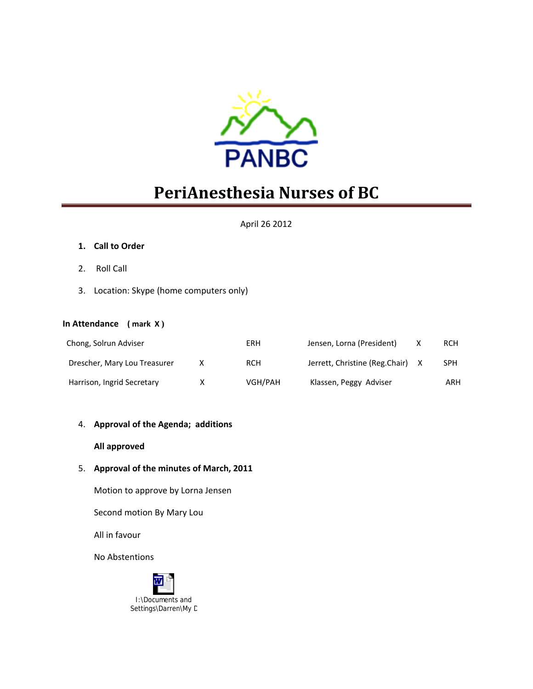

# **PeriAnesthesia Nurses of BC**

#### April 26 2012

#### **1. Call to Order**

- 2. Roll Call
- 3. Location: Skype (home computers only)

#### **In Attendance ( mark X )**

| Chong, Solrun Adviser        | ERH     | Jensen, Lorna (President)      | <b>RCH</b> |
|------------------------------|---------|--------------------------------|------------|
| Drescher, Mary Lou Treasurer | RCH     | Jerrett, Christine (Reg.Chair) | <b>SPH</b> |
| Harrison, Ingrid Secretary   | VGH/PAH | Klassen, Peggy Adviser         | ARH        |

#### 4. **Approval of the Agenda; additions**

#### **All approved**

#### 5. **Approval of the minutes of March, 2011**

Motion to approve by Lorna Jensen

Second motion By Mary Lou

All in favour

No Abstentions

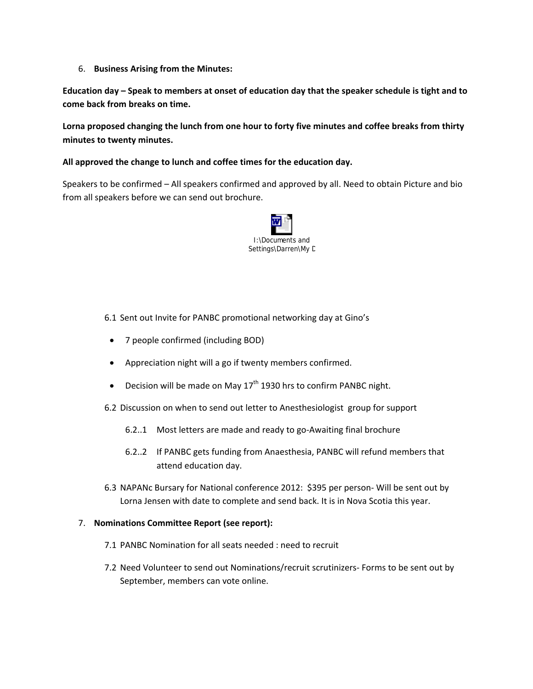6. **Business Arising from the Minutes:**

Education day - Speak to members at onset of education day that the speaker schedule is tight and to **come back from breaks on time.** 

**Lorna proposed changing the lunch from one hour to forty five minutes and coffee breaks from thirty minutes to twenty minutes.** 

#### **All approved the change to lunch and coffee times for the education day.**

Speakers to be confirmed – All speakers confirmed and approved by all. Need to obtain Picture and bio from all speakers before we can send out brochure.



6.1 Sent out Invite for PANBC promotional networking day at Gino's

- 7 people confirmed (including BOD)
- Appreciation night will a go if twenty members confirmed.
- Decision will be made on May  $17<sup>th</sup>$  1930 hrs to confirm PANBC night.
- 6.2 Discussion on when to send out letter to Anesthesiologist group for support
	- 6.2..1 Most letters are made and ready to go‐Awaiting final brochure
	- 6.2..2 If PANBC gets funding from Anaesthesia, PANBC will refund members that attend education day.
- 6.3 NAPANc Bursary for National conference 2012: \$395 per person‐ Will be sent out by Lorna Jensen with date to complete and send back. It is in Nova Scotia this year.

#### 7. **Nominations Committee Report (see report):**

- 7.1 PANBC Nomination for all seats needed : need to recruit
- 7.2 Need Volunteer to send out Nominations/recruit scrutinizers- Forms to be sent out by September, members can vote online.